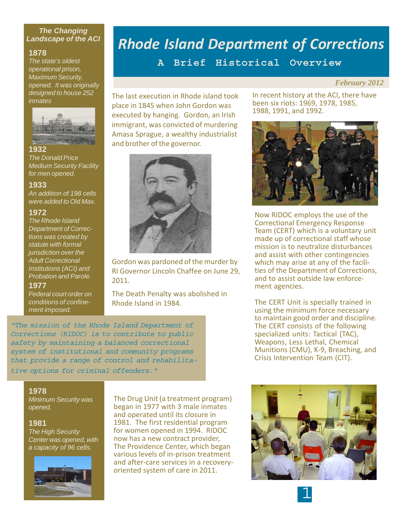## *The Changing Landscape of the ACI*

## **1878**

*The state's oldest operational prison, Maximum Security, opened. It was originally designed to house 252 inmates*



#### **1932**

*The Donald Price Medium Security Facility for men opened.*

#### **1933**

*An addition of 198 cells were added to Old Max.*

#### **1972**

*The Rhode Island Department of Corrections was created by statute with formal jurisdiction over the Adult Correctional Institutions (ACI) and Probation and Parole.*

#### **1977**

*Federal court order on conditions of confinement imposed.*

# *Rhode Island Department of Corrections*

**A Brief Historical Overview**

#### *February 2012*

The last execution in Rhode island took place in 1845 when John Gordon was executed by hanging. Gordon, an Irish immigrant, was convicted of murdering Amasa Sprague, a wealthy industrialist and brother of the governor.



Gordon was pardoned of the murder by RI Governor Lincoln Chaffee on June 29, 2011.

The Death Penalty was abolished in Rhode Island in 1984.

"The mission of the Rhode Island Department of Corrections (RIDOC) is to contribute to public safety by maintaining a balanced correctional system of institutional and community programs that provide a range of control and rehabilitative options for criminal offenders."

In recent history at the ACI, there have been six riots: 1969, 1978, 1985, 1988, 1991, and 1992.



Now RIDOC employs the use of the Correctional Emergency Response Team (CERT) which is a voluntary unit made up of correctional staff whose mission is to neutralize disturbances and assist with other contingencies which may arise at any of the facilities of the Department of Corrections, and to assist outside law enforcement agencies.

The CERT Unit is specially trained in using the minimum force necessary to maintain good order and discipline. The CERT consists of the following specialized units: Tactical (TAC), Weapons, Less Lethal, Chemical Munitions (CMU), K-9, Breaching, and Crisis Intervention Team (CIT).

#### **1978**

*Minimum Security was opened.*

#### **1981**

*The High Security Center was opened, with a capacity of 96 cells.*



The Drug Unit (a treatment program) began in 1977 with 3 male inmates and operated until its closure in 1981. The first residential program for women opened in 1994. RIDOC now has a new contract provider, The Providence Center, which began various levels of in-prison treatment and after-care services in a recoveryoriented system of care in 2011.